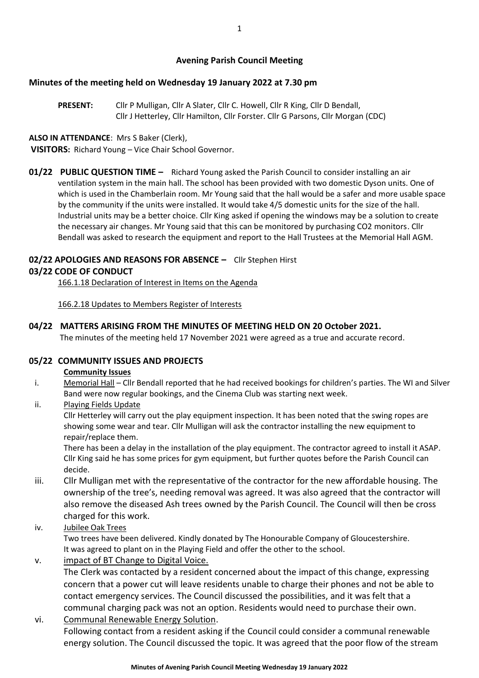## **Avening Parish Council Meeting**

### **Minutes of the meeting held on Wednesday 19 January 2022 at 7.30 pm**

**PRESENT:** Cllr P Mulligan, Cllr A Slater, Cllr C. Howell, Cllr R King, Cllr D Bendall, Cllr J Hetterley, Cllr Hamilton, Cllr Forster. Cllr G Parsons, Cllr Morgan (CDC)

### **ALSO IN ATTENDANCE**: Mrs S Baker (Clerk),

**VISITORS:** Richard Young – Vice Chair School Governor.

**01/22 PUBLIC QUESTION TIME –** Richard Young asked the Parish Council to consider installing an air ventilation system in the main hall. The school has been provided with two domestic Dyson units. One of which is used in the Chamberlain room. Mr Young said that the hall would be a safer and more usable space by the community if the units were installed. It would take 4/5 domestic units for the size of the hall. Industrial units may be a better choice. Cllr King asked if opening the windows may be a solution to create the necessary air changes. Mr Young said that this can be monitored by purchasing CO2 monitors. Cllr Bendall was asked to research the equipment and report to the Hall Trustees at the Memorial Hall AGM.

# **02/22 APOLOGIES AND REASONS FOR ABSENCE –** Cllr Stephen Hirst

### **03/22 CODE OF CONDUCT**

166.1.18 Declaration of Interest in Items on the Agenda

166.2.18 Updates to Members Register of Interests

**04/22 MATTERS ARISING FROM THE MINUTES OF MEETING HELD ON 20 October 2021.**

The minutes of the meeting held 17 November 2021 were agreed as a true and accurate record.

### **05/22 COMMUNITY ISSUES AND PROJECTS**

### **Community Issues**

- i. Memorial Hall Cllr Bendall reported that he had received bookings for children's parties. The WI and Silver Band were now regular bookings, and the Cinema Club was starting next week.
- ii. Playing Fields Update

Cllr Hetterley will carry out the play equipment inspection. It has been noted that the swing ropes are showing some wear and tear. Cllr Mulligan will ask the contractor installing the new equipment to repair/replace them.

There has been a delay in the installation of the play equipment. The contractor agreed to install it ASAP. Cllr King said he has some prices for gym equipment, but further quotes before the Parish Council can decide.

- iii. Cllr Mulligan met with the representative of the contractor for the new affordable housing. The ownership of the tree's, needing removal was agreed. It was also agreed that the contractor will also remove the diseased Ash trees owned by the Parish Council. The Council will then be cross charged for this work.
- iv. Jubilee Oak Trees

Two trees have been delivered. Kindly donated by The Honourable Company of Gloucestershire. It was agreed to plant on in the Playing Field and offer the other to the school.

v. impact of BT Change to Digital Voice.

The Clerk was contacted by a resident concerned about the impact of this change, expressing concern that a power cut will leave residents unable to charge their phones and not be able to contact emergency services. The Council discussed the possibilities, and it was felt that a communal charging pack was not an option. Residents would need to purchase their own.

vi. Communal Renewable Energy Solution.

Following contact from a resident asking if the Council could consider a communal renewable energy solution. The Council discussed the topic. It was agreed that the poor flow of the stream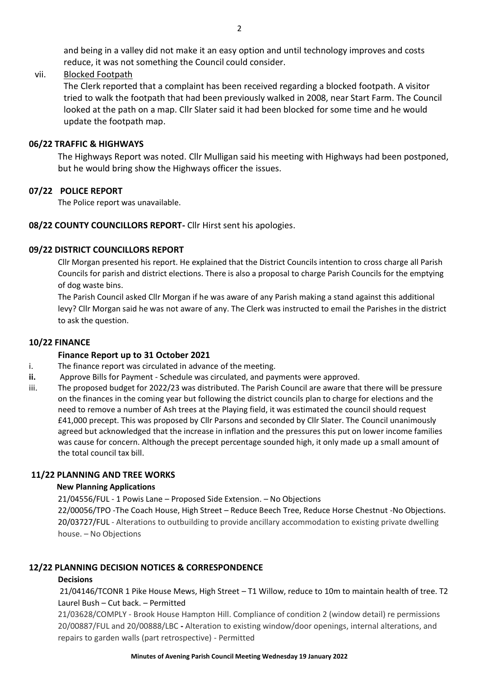and being in a valley did not make it an easy option and until technology improves and costs reduce, it was not something the Council could consider.

### vii. Blocked Footpath

The Clerk reported that a complaint has been received regarding a blocked footpath. A visitor tried to walk the footpath that had been previously walked in 2008, near Start Farm. The Council looked at the path on a map. Cllr Slater said it had been blocked for some time and he would update the footpath map.

### **06/22 TRAFFIC & HIGHWAYS**

The Highways Report was noted. Cllr Mulligan said his meeting with Highways had been postponed, but he would bring show the Highways officer the issues.

#### **07/22 POLICE REPORT**

The Police report was unavailable.

#### **08/22 COUNTY COUNCILLORS REPORT-** Cllr Hirst sent his apologies.

#### **09/22 DISTRICT COUNCILLORS REPORT**

Cllr Morgan presented his report. He explained that the District Councils intention to cross charge all Parish Councils for parish and district elections. There is also a proposal to charge Parish Councils for the emptying of dog waste bins.

The Parish Council asked Cllr Morgan if he was aware of any Parish making a stand against this additional levy? Cllr Morgan said he was not aware of any. The Clerk was instructed to email the Parishes in the district to ask the question.

#### **10/22 FINANCE**

### **Finance Report up to 31 October 2021**

- i. The finance report was circulated in advance of the meeting.
- **ii.** Approve Bills for Payment Schedule was circulated, and payments were approved.
- iii. The proposed budget for 2022/23 was distributed. The Parish Council are aware that there will be pressure on the finances in the coming year but following the district councils plan to charge for elections and the need to remove a number of Ash trees at the Playing field, it was estimated the council should request £41,000 precept. This was proposed by Cllr Parsons and seconded by Cllr Slater. The Council unanimously agreed but acknowledged that the increase in inflation and the pressures this put on lower income families was cause for concern. Although the precept percentage sounded high, it only made up a small amount of the total council tax bill.

### **11/22 PLANNING AND TREE WORKS**

#### **New Planning Applications**

21/04556/FUL - 1 Powis Lane – Proposed Side Extension. – No Objections

22/00056/TPO -The Coach House, High Street – Reduce Beech Tree, Reduce Horse Chestnut -No Objections. 20/03727/FUL - Alterations to outbuilding to provide ancillary accommodation to existing private dwelling house. – No Objections

### **12/22 PLANNING DECISION NOTICES & CORRESPONDENCE**

#### **Decisions**

21/04146/TCONR 1 Pike House Mews, High Street – T1 Willow, reduce to 10m to maintain health of tree. T2 Laurel Bush – Cut back. – Permitted

21/03628/COMPLY - Brook House Hampton Hill. Compliance of condition 2 (window detail) re permissions 20/00887/FUL and 20/00888/LBC **-** Alteration to existing window/door openings, internal alterations, and repairs to garden walls (part retrospective) - Permitted